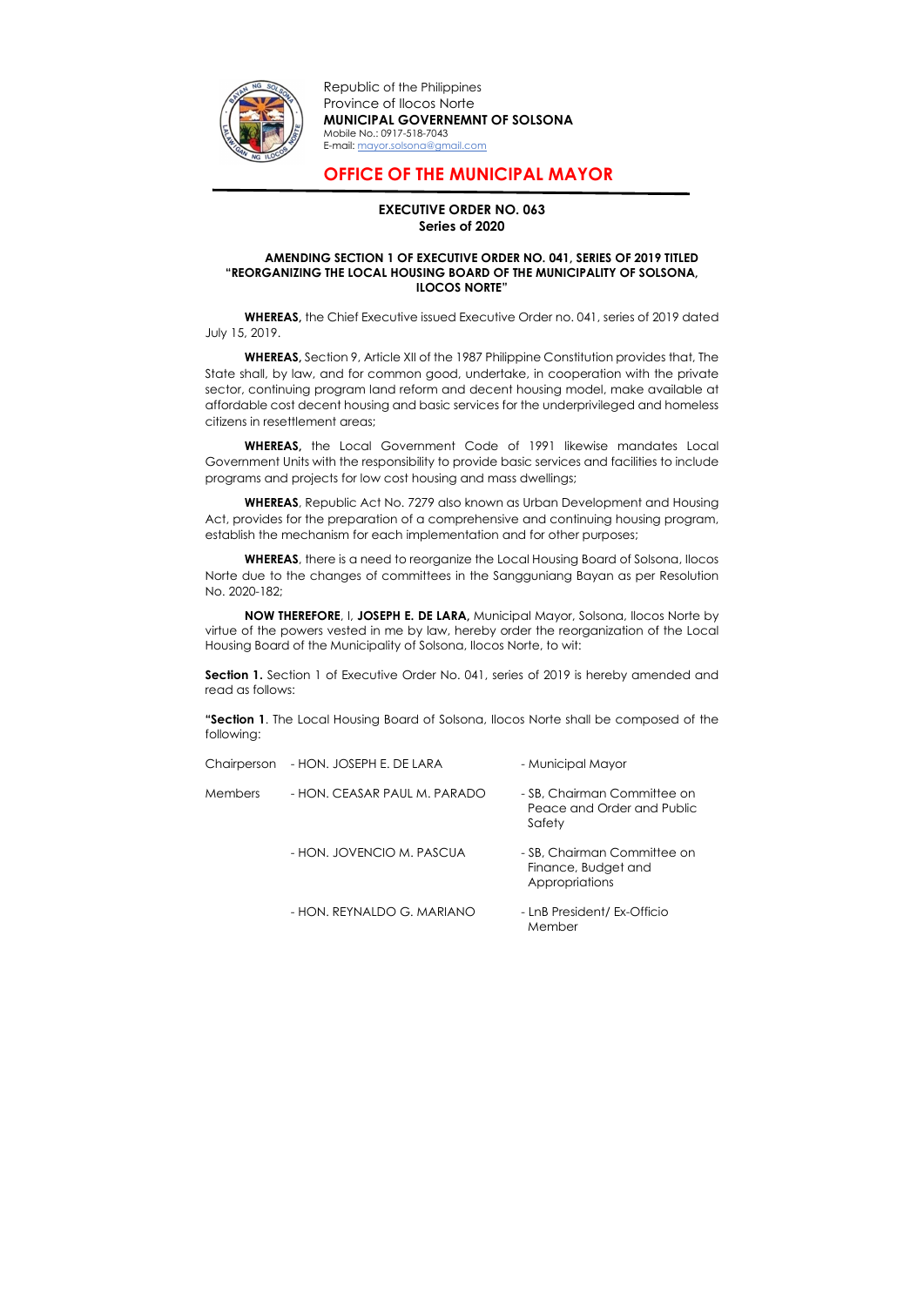

Republic of the Philippines Province of Ilocos Norte MUNICIPAL GOVERNEMNT OF SOLSONA Mobile No.: 0917-518-7043 E-mail: mayor.solsona@gmail.com

## OFFICE OF THE MUNICIPAL MAYOR

## EXECUTIVE ORDER NO. 063 Series of 2020

## AMENDING SECTION 1 OF EXECUTIVE ORDER NO. 041, SERIES OF 2019 TITLED "REORGANIZING THE LOCAL HOUSING BOARD OF THE MUNICIPALITY OF SOLSONA, ILOCOS NORTE"

 WHEREAS, the Chief Executive issued Executive Order no. 041, series of 2019 dated July 15, 2019.

WHEREAS, the Local Government Code of 1991 likewise mandates Local Government Units with the responsibility to provide basic services and facilities to include programs and projects for low cost housing and mass dwellings;

WHEREAS, Section 9, Article XII of the 1987 Philippine Constitution provides that, The State shall, by law, and for common good, undertake, in cooperation with the private sector, continuing program land reform and decent housing model, make available at affordable cost decent housing and basic services for the underprivileged and homeless citizens in resettlement areas;

WHEREAS, there is a need to reorganize the Local Housing Board of Solsona, Ilocos Norte due to the changes of committees in the Sangguniang Bayan as per Resolution No. 2020-182;

Section 1. Section 1 of Executive Order No. 041, series of 2019 is hereby amended and read as follows:

"Section 1. The Local Housing Board of Solsona, Ilocos Norte shall be composed of the following:

WHEREAS, Republic Act No. 7279 also known as Urban Development and Housing Act, provides for the preparation of a comprehensive and continuing housing program, establish the mechanism for each implementation and for other purposes;

NOW THEREFORE, I, JOSEPH E. DE LARA, Municipal Mayor, Solsona, Ilocos Norte by virtue of the powers vested in me by law, hereby order the reorganization of the Local Housing Board of the Municipality of Solsona, Ilocos Norte, to wit:

|                | Chairperson - HON. JOSEPH E. DE LARA | - Municipal Mayor                                                    |
|----------------|--------------------------------------|----------------------------------------------------------------------|
| <b>Members</b> | - HON. CEASAR PAUL M. PARADO         | - SB, Chairman Committee on<br>Peace and Order and Public<br>Safety  |
|                | - HON. JOVENCIO M. PASCUA            | - SB, Chairman Committee on<br>Finance, Budget and<br>Appropriations |
|                | - HON. REYNALDO G. MARIANO           | - LnB President/ Ex-Officio<br>Member                                |